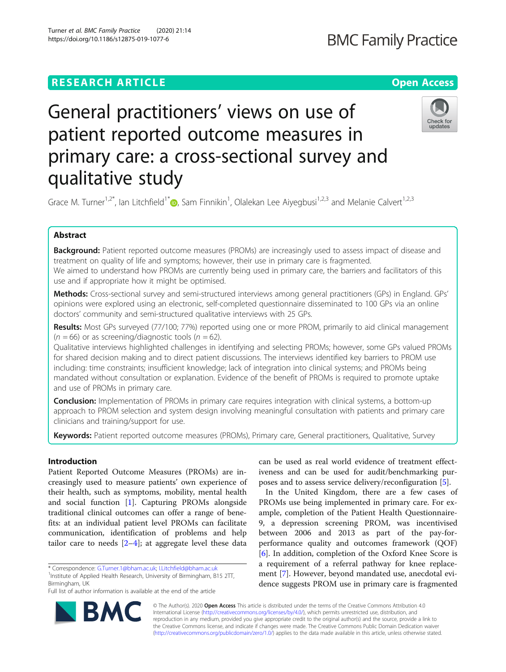Turner et al. BMC Family Practice (2020) 21:14 https://doi.org/10.1186/s12875-019-1077-6

# General practitioners' views on use of patient reported outcome measures in primary care: a cross-sectional survey and qualitative study



Grace M. Turner<sup>1,2[\\*](http://orcid.org/0000-0002-1169-5392)</sup>, lan Litchfield<sup>1\*</sup>®, Sam Finnikin<sup>1</sup>, Olalekan Lee Aiyegbusi<sup>1,2,3</sup> and Melanie Calvert<sup>1,2,3</sup>

# Abstract

Background: Patient reported outcome measures (PROMs) are increasingly used to assess impact of disease and treatment on quality of life and symptoms; however, their use in primary care is fragmented.

We aimed to understand how PROMs are currently being used in primary care, the barriers and facilitators of this use and if appropriate how it might be optimised.

Methods: Cross-sectional survey and semi-structured interviews among general practitioners (GPs) in England. GPs' opinions were explored using an electronic, self-completed questionnaire disseminated to 100 GPs via an online doctors' community and semi-structured qualitative interviews with 25 GPs.

Results: Most GPs surveyed (77/100; 77%) reported using one or more PROM, primarily to aid clinical management  $(n = 66)$  or as screening/diagnostic tools  $(n = 62)$ .

Qualitative interviews highlighted challenges in identifying and selecting PROMs; however, some GPs valued PROMs for shared decision making and to direct patient discussions. The interviews identified key barriers to PROM use including: time constraints; insufficient knowledge; lack of integration into clinical systems; and PROMs being mandated without consultation or explanation. Evidence of the benefit of PROMs is required to promote uptake and use of PROMs in primary care.

**Conclusion:** Implementation of PROMs in primary care requires integration with clinical systems, a bottom-up approach to PROM selection and system design involving meaningful consultation with patients and primary care clinicians and training/support for use.

Keywords: Patient reported outcome measures (PROMs), Primary care, General practitioners, Qualitative, Survey

# Introduction

Patient Reported Outcome Measures (PROMs) are increasingly used to measure patients' own experience of their health, such as symptoms, mobility, mental health and social function [\[1](#page-8-0)]. Capturing PROMs alongside traditional clinical outcomes can offer a range of benefits: at an individual patient level PROMs can facilitate communication, identification of problems and help tailor care to needs  $[2-4]$  $[2-4]$  $[2-4]$ ; at aggregate level these data

\* Correspondence: [G.Turner.1@bham.ac.uk;](mailto:G.Turner.1@bham.ac.uk) [I.Litchfield@bham.ac.uk](mailto:I.Litchfield@bham.ac.uk) <sup>1</sup>

<sup>1</sup>Institute of Applied Health Research, University of Birmingham, B15 2TT, Birmingham, UK

Full list of author information is available at the end of the article

can be used as real world evidence of treatment effectiveness and can be used for audit/benchmarking purposes and to assess service delivery/reconfiguration [[5\]](#page-8-0).

In the United Kingdom, there are a few cases of PROMs use being implemented in primary care. For example, completion of the Patient Health Questionnaire-9, a depression screening PROM, was incentivised between 2006 and 2013 as part of the pay-forperformance quality and outcomes framework (QOF) [[6\]](#page-8-0). In addition, completion of the Oxford Knee Score is a requirement of a referral pathway for knee replacement [\[7\]](#page-8-0). However, beyond mandated use, anecdotal evidence suggests PROM use in primary care is fragmented



© The Author(s). 2020 **Open Access** This article is distributed under the terms of the Creative Commons Attribution 4.0 International License [\(http://creativecommons.org/licenses/by/4.0/](http://creativecommons.org/licenses/by/4.0/)), which permits unrestricted use, distribution, and reproduction in any medium, provided you give appropriate credit to the original author(s) and the source, provide a link to the Creative Commons license, and indicate if changes were made. The Creative Commons Public Domain Dedication waiver [\(http://creativecommons.org/publicdomain/zero/1.0/](http://creativecommons.org/publicdomain/zero/1.0/)) applies to the data made available in this article, unless otherwise stated.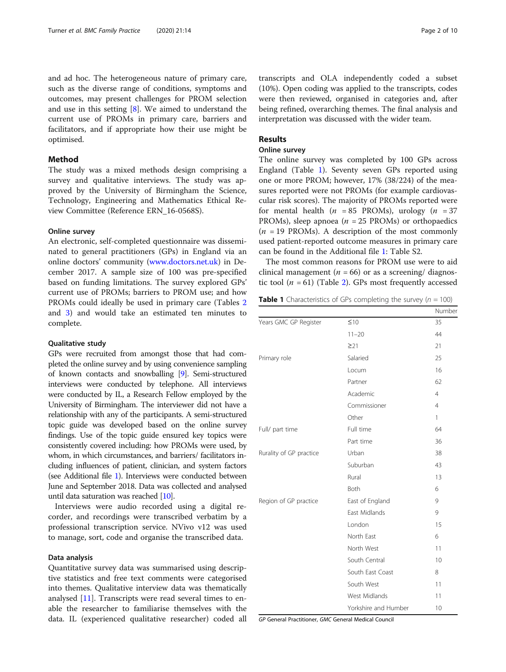and ad hoc. The heterogeneous nature of primary care, such as the diverse range of conditions, symptoms and outcomes, may present challenges for PROM selection and use in this setting  $[8]$  $[8]$ . We aimed to understand the current use of PROMs in primary care, barriers and facilitators, and if appropriate how their use might be optimised.

# Method

The study was a mixed methods design comprising a survey and qualitative interviews. The study was approved by the University of Birmingham the Science, Technology, Engineering and Mathematics Ethical Review Committee (Reference ERN\_16-0568S).

## Online survey

An electronic, self-completed questionnaire was disseminated to general practitioners (GPs) in England via an online doctors' community ([www.doctors.net.uk\)](http://www.doctors.net.uk) in December 2017. A sample size of 100 was pre-specified based on funding limitations. The survey explored GPs' current use of PROMs; barriers to PROM use; and how PROMs could ideally be used in primary care (Tables [2](#page-2-0) and [3](#page-4-0)) and would take an estimated ten minutes to complete.

#### Qualitative study

GPs were recruited from amongst those that had completed the online survey and by using convenience sampling of known contacts and snowballing [[9](#page-8-0)]. Semi-structured interviews were conducted by telephone. All interviews were conducted by IL, a Research Fellow employed by the University of Birmingham. The interviewer did not have a relationship with any of the participants. A semi-structured topic guide was developed based on the online survey findings. Use of the topic guide ensured key topics were consistently covered including: how PROMs were used, by whom, in which circumstances, and barriers/ facilitators including influences of patient, clinician, and system factors (see Additional file [1\)](#page-8-0). Interviews were conducted between June and September 2018. Data was collected and analysed until data saturation was reached [\[10\]](#page-8-0).

Interviews were audio recorded using a digital recorder, and recordings were transcribed verbatim by a professional transcription service. NVivo v12 was used to manage, sort, code and organise the transcribed data.

## Data analysis

Quantitative survey data was summarised using descriptive statistics and free text comments were categorised into themes. Qualitative interview data was thematically analysed [[11](#page-8-0)]. Transcripts were read several times to enable the researcher to familiarise themselves with the data. IL (experienced qualitative researcher) coded all transcripts and OLA independently coded a subset (10%). Open coding was applied to the transcripts, codes were then reviewed, organised in categories and, after being refined, overarching themes. The final analysis and interpretation was discussed with the wider team.

# Results

## Online survey

The online survey was completed by 100 GPs across England (Table 1). Seventy seven GPs reported using one or more PROM; however, 17% (38/224) of the measures reported were not PROMs (for example cardiovascular risk scores). The majority of PROMs reported were for mental health ( $n = 85$  PROMs), urology ( $n = 37$ PROMs), sleep apnoea ( $n = 25$  PROMs) or orthopaedics  $(n = 19 \text{ PROMs})$ . A description of the most commonly used patient-reported outcome measures in primary care can be found in the Additional file [1](#page-8-0): Table S2.

The most common reasons for PROM use were to aid clinical management ( $n = 66$ ) or as a screening/ diagnostic tool  $(n = 61)$  (Table [2](#page-2-0)). GPs most frequently accessed

**Table 1** Characteristics of GPs completing the survey ( $n = 100$ )

|                         |                      | Number         |
|-------------------------|----------------------|----------------|
| Years GMC GP Register   | $\leq 10$            | 35             |
|                         | $11 - 20$            | 44             |
|                         | $\geq$ 21            | 21             |
| Primary role            | Salaried             | 25             |
|                         | Locum                | 16             |
|                         | Partner              | 62             |
|                         | Academic             | $\overline{4}$ |
|                         | Commissioner         | $\overline{4}$ |
|                         | Other                | $\mathbf{1}$   |
| Full/ part time         | Full time            | 64             |
|                         | Part time            | 36             |
| Rurality of GP practice | Urban                | 38             |
|                         | Suburban             | 43             |
|                         | Rural                | 13             |
|                         | Both                 | 6              |
| Region of GP practice   | East of England      | 9              |
|                         | East Midlands        | 9              |
|                         | London               | 15             |
|                         | North East           | 6              |
|                         | North West           | 11             |
|                         | South Central        | 10             |
|                         | South East Coast     | 8              |
|                         | South West           | 11             |
|                         | West Midlands        | 11             |
|                         | Yorkshire and Humber | 10             |

GP General Practitioner, GMC General Medical Council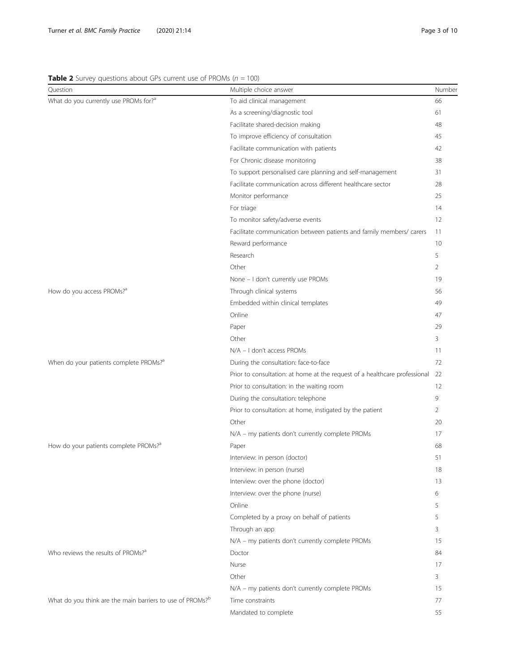<span id="page-2-0"></span>**Table 2** Survey questions about GPs current use of PROMs ( $n = 100$ )

| Question                                                              | Multiple choice answer                                                     | Number         |
|-----------------------------------------------------------------------|----------------------------------------------------------------------------|----------------|
| What do you currently use PROMs for? <sup>a</sup>                     | To aid clinical management                                                 |                |
|                                                                       | As a screening/diagnostic tool                                             | 61             |
|                                                                       | Facilitate shared-decision making                                          | 48             |
|                                                                       | To improve efficiency of consultation                                      | 45             |
|                                                                       | Facilitate communication with patients                                     | 42             |
|                                                                       | For Chronic disease monitoring                                             | 38             |
|                                                                       | To support personalised care planning and self-management                  | 31             |
|                                                                       | Facilitate communication across different healthcare sector                | 28             |
|                                                                       | Monitor performance                                                        | 25             |
|                                                                       | For triage                                                                 | 14             |
|                                                                       | To monitor safety/adverse events                                           | 12             |
|                                                                       | Facilitate communication between patients and family members/ carers       | 11             |
|                                                                       | Reward performance                                                         | 10             |
|                                                                       | Research                                                                   | 5              |
|                                                                       | Other                                                                      | 2              |
|                                                                       | None - I don't currently use PROMs                                         | 19             |
| How do you access PROMs? <sup>a</sup>                                 | Through clinical systems                                                   | 56             |
|                                                                       | Embedded within clinical templates                                         | 49             |
|                                                                       | Online                                                                     | 47             |
|                                                                       | Paper                                                                      | 29             |
|                                                                       | Other                                                                      | 3              |
|                                                                       | N/A - I don't access PROMs                                                 | 11             |
| When do your patients complete PROMs? <sup>a</sup>                    | During the consultation: face-to-face                                      | 72             |
|                                                                       | Prior to consultation: at home at the request of a healthcare professional | 22             |
|                                                                       | Prior to consultation: in the waiting room                                 | 12             |
|                                                                       | During the consultation: telephone                                         | 9              |
|                                                                       | Prior to consultation: at home, instigated by the patient                  | 2              |
|                                                                       | Other                                                                      | 20             |
|                                                                       | N/A - my patients don't currently complete PROMs                           | 17             |
| How do your patients complete PROMs? <sup>a</sup>                     | Paper                                                                      | 68             |
|                                                                       | Interview: in person (doctor)                                              | 51             |
|                                                                       | Interview: in person (nurse)                                               | 18             |
|                                                                       | Interview: over the phone (doctor)                                         | 13             |
|                                                                       | Interview: over the phone (nurse)                                          | 6              |
|                                                                       | Online                                                                     | 5              |
|                                                                       | Completed by a proxy on behalf of patients                                 | 5              |
|                                                                       | Through an app                                                             | 3              |
|                                                                       | N/A - my patients don't currently complete PROMs                           | 15             |
| Who reviews the results of PROMs? <sup>a</sup>                        | Doctor                                                                     | 84             |
|                                                                       | Nurse                                                                      | 17             |
|                                                                       | Other                                                                      | $\overline{3}$ |
|                                                                       | N/A - my patients don't currently complete PROMs                           | 15             |
| What do you think are the main barriers to use of PROMs? <sup>b</sup> | Time constraints                                                           | 77             |
|                                                                       | Mandated to complete                                                       | 55             |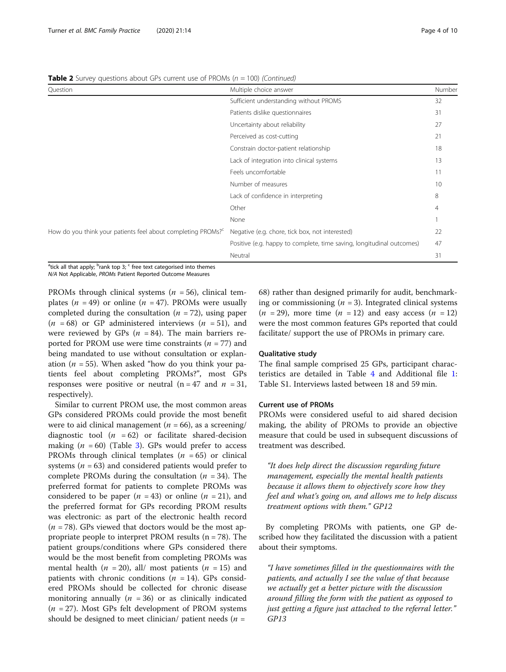**Table 2** Survey questions about GPs current use of PROMs ( $n = 100$ ) (Continued)

| Question                                                                 | Multiple choice answer                                                | Number |
|--------------------------------------------------------------------------|-----------------------------------------------------------------------|--------|
|                                                                          | Sufficient understanding without PROMS                                | 32     |
|                                                                          | Patients dislike questionnaires                                       | 31     |
|                                                                          | Uncertainty about reliability                                         | 27     |
|                                                                          | Perceived as cost-cutting                                             | 21     |
|                                                                          | Constrain doctor-patient relationship                                 | 18     |
|                                                                          | Lack of integration into clinical systems                             | 13     |
|                                                                          | Feels uncomfortable                                                   | 11     |
|                                                                          | Number of measures                                                    | 10     |
|                                                                          | Lack of confidence in interpreting                                    | 8      |
|                                                                          | Other                                                                 | 4      |
|                                                                          | None                                                                  |        |
| How do you think your patients feel about completing PROMs? <sup>c</sup> | Negative (e.g. chore, tick box, not interested)                       | 22     |
|                                                                          | Positive (e.g. happy to complete, time saving, longitudinal outcomes) | 47     |
|                                                                          | Neutral                                                               | 31     |

<sup>a</sup>tick all that apply; <sup>b</sup>rank top 3; <sup>c</sup> free text categorised into themes N/A Not Applicable, PROMs Patient Reported Outcome Measures

PROMs through clinical systems ( $n = 56$ ), clinical templates ( $n = 49$ ) or online ( $n = 47$ ). PROMs were usually completed during the consultation  $(n = 72)$ , using paper  $(n = 68)$  or GP administered interviews  $(n = 51)$ , and were reviewed by GPs  $(n = 84)$ . The main barriers reported for PROM use were time constraints ( $n = 77$ ) and being mandated to use without consultation or explanation ( $n = 55$ ). When asked "how do you think your patients feel about completing PROMs?", most GPs responses were positive or neutral ( $n = 47$  and  $n = 31$ , respectively).

Similar to current PROM use, the most common areas GPs considered PROMs could provide the most benefit were to aid clinical management ( $n = 66$ ), as a screening/ diagnostic tool ( $n = 62$ ) or facilitate shared-decision making  $(n = 60)$  (Table [3](#page-4-0)). GPs would prefer to access PROMs through clinical templates  $(n = 65)$  or clinical systems ( $n = 63$ ) and considered patients would prefer to complete PROMs during the consultation  $(n = 34)$ . The preferred format for patients to complete PROMs was considered to be paper  $(n = 43)$  or online  $(n = 21)$ , and the preferred format for GPs recording PROM results was electronic: as part of the electronic health record  $(n = 78)$ . GPs viewed that doctors would be the most appropriate people to interpret PROM results ( $n = 78$ ). The patient groups/conditions where GPs considered there would be the most benefit from completing PROMs was mental health ( $n = 20$ ), all/ most patients ( $n = 15$ ) and patients with chronic conditions ( $n = 14$ ). GPs considered PROMs should be collected for chronic disease monitoring annually ( $n = 36$ ) or as clinically indicated  $(n = 27)$ . Most GPs felt development of PROM systems should be designed to meet clinician/ patient needs ( $n =$ 

68) rather than designed primarily for audit, benchmarking or commissioning  $(n = 3)$ . Integrated clinical systems  $(n = 29)$ , more time  $(n = 12)$  and easy access  $(n = 12)$ were the most common features GPs reported that could facilitate/ support the use of PROMs in primary care.

#### Qualitative study

The final sample comprised 25 GPs, participant characteristics are detailed in Table [4](#page-6-0) and Additional file [1](#page-8-0): Table S1. Interviews lasted between 18 and 59 min.

## Current use of PROMs

PROMs were considered useful to aid shared decision making, the ability of PROMs to provide an objective measure that could be used in subsequent discussions of treatment was described.

"It does help direct the discussion regarding future management, especially the mental health patients because it allows them to objectively score how they feel and what's going on, and allows me to help discuss treatment options with them." GP12

By completing PROMs with patients, one GP described how they facilitated the discussion with a patient about their symptoms.

"I have sometimes filled in the questionnaires with the patients, and actually I see the value of that because we actually get a better picture with the discussion around filling the form with the patient as opposed to just getting a figure just attached to the referral letter." GP13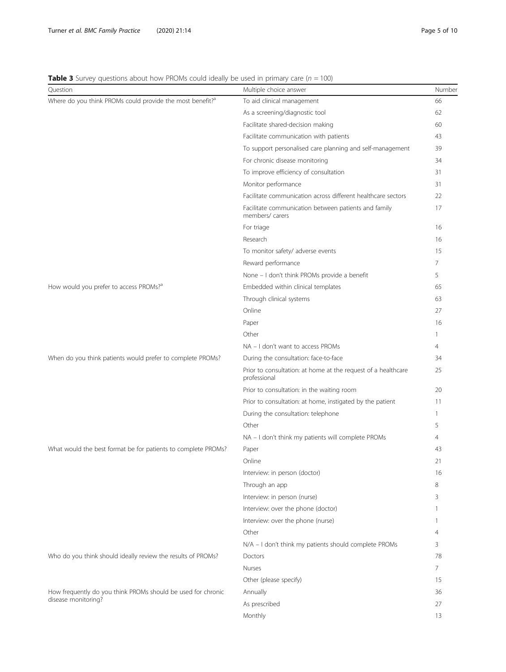<span id="page-4-0"></span>**Table 3** Survey questions about how PROMs could ideally be used in primary care ( $n = 100$ )

| Question                                                              | Multiple choice answer                                                        | Number         |
|-----------------------------------------------------------------------|-------------------------------------------------------------------------------|----------------|
| Where do you think PROMs could provide the most benefit? <sup>a</sup> | To aid clinical management                                                    |                |
|                                                                       | As a screening/diagnostic tool                                                | 62             |
|                                                                       | Facilitate shared-decision making                                             | 60             |
|                                                                       | Facilitate communication with patients                                        | 43             |
|                                                                       | To support personalised care planning and self-management                     | 39             |
|                                                                       | For chronic disease monitoring                                                | 34             |
|                                                                       | To improve efficiency of consultation                                         | 31             |
|                                                                       | Monitor performance                                                           | 31             |
|                                                                       | Facilitate communication across different healthcare sectors                  | 22             |
|                                                                       | Facilitate communication between patients and family<br>members/carers        | 17             |
|                                                                       | For triage                                                                    | 16             |
|                                                                       | Research                                                                      | 16             |
|                                                                       | To monitor safety/ adverse events                                             | 15             |
|                                                                       | Reward performance                                                            | 7              |
|                                                                       | None - I don't think PROMs provide a benefit                                  | 5              |
| How would you prefer to access PROMs? <sup>a</sup>                    | Embedded within clinical templates                                            | 65             |
|                                                                       | Through clinical systems                                                      | 63             |
|                                                                       | Online                                                                        | 27             |
|                                                                       | Paper                                                                         | 16             |
|                                                                       | Other                                                                         | $\mathbf{1}$   |
|                                                                       | NA - I don't want to access PROMs                                             | $\overline{4}$ |
| When do you think patients would prefer to complete PROMs?            | During the consultation: face-to-face                                         | 34             |
|                                                                       | Prior to consultation: at home at the request of a healthcare<br>professional | 25             |
|                                                                       | Prior to consultation: in the waiting room                                    | 20             |
|                                                                       | Prior to consultation: at home, instigated by the patient                     | 11             |
|                                                                       | During the consultation: telephone                                            | 1.             |
|                                                                       | Other                                                                         | 5              |
|                                                                       | NA - I don't think my patients will complete PROMs                            | 4              |
| What would the best format be for patients to complete PROMs?         | Paper                                                                         | 43             |
|                                                                       | Online                                                                        | 21             |
|                                                                       | Interview: in person (doctor)                                                 | 16             |
|                                                                       | Through an app                                                                | 8              |
|                                                                       | Interview: in person (nurse)                                                  | 3              |
|                                                                       | Interview: over the phone (doctor)                                            | $\mathbf{1}$   |
|                                                                       | Interview: over the phone (nurse)                                             | 1              |
|                                                                       | Other                                                                         | 4              |
|                                                                       | N/A - I don't think my patients should complete PROMs                         | 3              |
| Who do you think should ideally review the results of PROMs?          | Doctors                                                                       | 78             |
|                                                                       | <b>Nurses</b>                                                                 | $\overline{7}$ |
|                                                                       | Other (please specify)                                                        | 15             |
| How frequently do you think PROMs should be used for chronic          | Annually                                                                      | 36             |
| disease monitoring?                                                   | As prescribed                                                                 | 27             |
|                                                                       | Monthly                                                                       | 13             |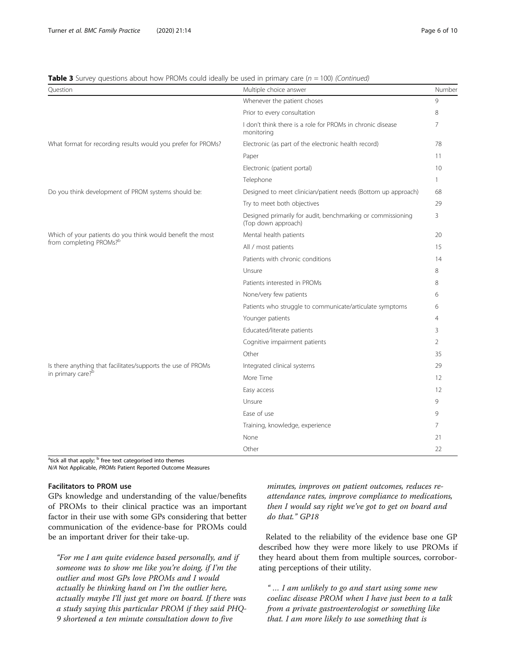# Table 3 Survey questions about how PROMs could ideally be used in primary care (n = 100) (Continued)

| Question                                                                                      | Multiple choice answer                                                             | Number         |
|-----------------------------------------------------------------------------------------------|------------------------------------------------------------------------------------|----------------|
|                                                                                               | Whenever the patient choses                                                        | 9              |
|                                                                                               | Prior to every consultation                                                        | 8              |
|                                                                                               | I don't think there is a role for PROMs in chronic disease<br>monitoring           | 7              |
| What format for recording results would you prefer for PROMs?                                 | Electronic (as part of the electronic health record)                               | 78             |
|                                                                                               | Paper                                                                              | 11             |
|                                                                                               | Electronic (patient portal)                                                        | 10             |
|                                                                                               | Telephone                                                                          | $\mathbf{1}$   |
| Do you think development of PROM systems should be:                                           | Designed to meet clinician/patient needs (Bottom up approach)                      | 68             |
|                                                                                               | Try to meet both objectives                                                        | 29             |
|                                                                                               | Designed primarily for audit, benchmarking or commissioning<br>(Top down approach) | 3              |
| Which of your patients do you think would benefit the most                                    | Mental health patients                                                             | 20             |
| from completing PROMs? <sup>b</sup>                                                           | All / most patients                                                                | 15             |
|                                                                                               | Patients with chronic conditions                                                   | 14             |
|                                                                                               | Unsure                                                                             | 8              |
|                                                                                               | Patients interested in PROMs                                                       | 8              |
|                                                                                               | None/very few patients                                                             | 6              |
|                                                                                               | Patients who struggle to communicate/articulate symptoms                           | 6              |
|                                                                                               | Younger patients                                                                   | $\overline{4}$ |
|                                                                                               | Educated/literate patients                                                         | 3              |
|                                                                                               | Cognitive impairment patients                                                      | 2              |
|                                                                                               | Other                                                                              | 35             |
| Is there anything that facilitates/supports the use of PROMs<br>in primary care? <sup>b</sup> | Integrated clinical systems                                                        | 29             |
|                                                                                               | More Time                                                                          | 12             |
|                                                                                               | Easy access                                                                        | 12             |
|                                                                                               | Unsure                                                                             | 9              |
|                                                                                               | Ease of use                                                                        | 9              |
|                                                                                               | Training, knowledge, experience                                                    | 7              |
|                                                                                               | None                                                                               | 21             |
|                                                                                               | Other                                                                              | 22             |

<sup>a</sup>tick all that apply; <sup>b</sup> free text categorised into themes

N/A Not Applicable, PROMs Patient Reported Outcome Measures

# Facilitators to PROM use

GPs knowledge and understanding of the value/benefits of PROMs to their clinical practice was an important factor in their use with some GPs considering that better communication of the evidence-base for PROMs could be an important driver for their take-up.

"For me I am quite evidence based personally, and if someone was to show me like you're doing, if I'm the outlier and most GPs love PROMs and I would actually be thinking hand on I'm the outlier here, actually maybe I'll just get more on board. If there was a study saying this particular PROM if they said PHQ-9 shortened a ten minute consultation down to five

minutes, improves on patient outcomes, reduces reattendance rates, improve compliance to medications, then I would say right we've got to get on board and do that." GP18

Related to the reliability of the evidence base one GP described how they were more likely to use PROMs if they heard about them from multiple sources, corroborating perceptions of their utility.

" … I am unlikely to go and start using some new coeliac disease PROM when I have just been to a talk from a private gastroenterologist or something like that. I am more likely to use something that is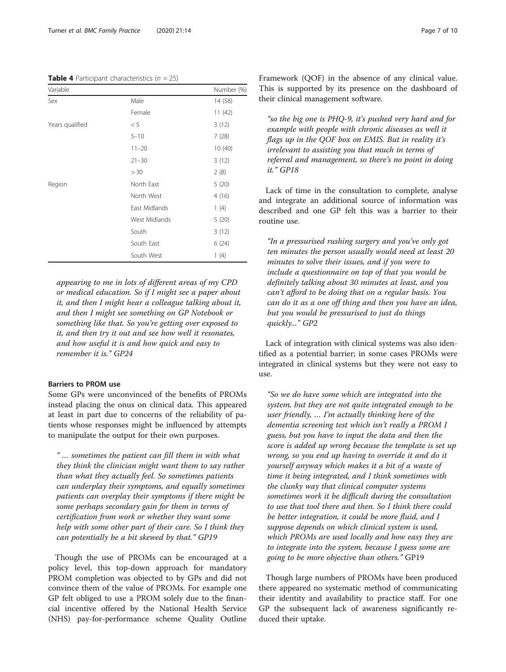#### <span id="page-6-0"></span>**Table 4** Participant characteristics  $(n = 25)$

| Variable        |               | Number (%) |
|-----------------|---------------|------------|
| Sex             | Male          | 14 (58)    |
|                 | Female        | 11 (42)    |
| Years qualified | < 5           | 3(12)      |
|                 | $5 - 10$      | 7(28)      |
|                 | $11 - 20$     | 10(40)     |
|                 | $21 - 30$     | 3(12)      |
|                 | > 30          | 2(8)       |
| Region          | North East    | 5(20)      |
|                 | North West    | 4(16)      |
|                 | East Midlands | 1(4)       |
|                 | West Midlands | 5(20)      |
|                 | South         | 3(12)      |
|                 | South East    | 6(24)      |
|                 | South West    | 1(4)       |

appearing to me in lots of different areas of my CPD or medical education. So if I might see a paper about it, and then I might hear a colleague talking about it, and then I might see something on GP Notebook or something like that. So you're getting over exposed to it, and then try it out and see how well it resonates, and how useful it is and how quick and easy to remember it is." GP24

# Barriers to PROM use

Some GPs were unconvinced of the benefits of PROMs instead placing the onus on clinical data. This appeared at least in part due to concerns of the reliability of patients whose responses might be influenced by attempts to manipulate the output for their own purposes.

" … sometimes the patient can fill them in with what they think the clinician might want them to say rather than what they actually feel. So sometimes patients can underplay their symptoms, and equally sometimes patients can overplay their symptoms if there might be some perhaps secondary gain for them in terms of certification from work or whether they want some help with some other part of their care. So I think they can potentially be a bit skewed by that." GP19

Though the use of PROMs can be encouraged at a policy level, this top-down approach for mandatory PROM completion was objected to by GPs and did not convince them of the value of PROMs. For example one GP felt obliged to use a PROM solely due to the financial incentive offered by the National Health Service (NHS) pay-for-performance scheme Quality Outline

Framework (QOF) in the absence of any clinical value. This is supported by its presence on the dashboard of their clinical management software.

"so the big one is PHQ-9, it's pushed very hard and for example with people with chronic diseases as well it flags up in the QOF box on EMIS. But in reality it's irrelevant to assisting you that much in terms of referral and management, so there's no point in doing it." GP18

Lack of time in the consultation to complete, analyse and integrate an additional source of information was described and one GP felt this was a barrier to their routine use.

"In a pressurised rushing surgery and you've only got ten minutes the person usually would need at least 20 minutes to solve their issues, and if you were to include a questionnaire on top of that you would be definitely talking about 30 minutes at least, and you can't afford to be doing that on a regular basis. You can do it as a one off thing and then you have an idea, but you would be pressurised to just do things quickly..." GP2

Lack of integration with clinical systems was also identified as a potential barrier; in some cases PROMs were integrated in clinical systems but they were not easy to use.

"So we do have some which are integrated into the system, but they are not quite integrated enough to be user friendly, … I'm actually thinking here of the dementia screening test which isn't really a PROM I guess, but you have to input the data and then the score is added up wrong because the template is set up wrong, so you end up having to override it and do it yourself anyway which makes it a bit of a waste of time it being integrated, and I think sometimes with the clunky way that clinical computer systems sometimes work it be difficult during the consultation to use that tool there and then. So I think there could be better integration, it could be more fluid, and I suppose depends on which clinical system is used, which PROMs are used locally and how easy they are to integrate into the system, because I guess some are going to be more objective than others." GP19

Though large numbers of PROMs have been produced there appeared no systematic method of communicating their identity and availability to practice staff. For one GP the subsequent lack of awareness significantly reduced their uptake.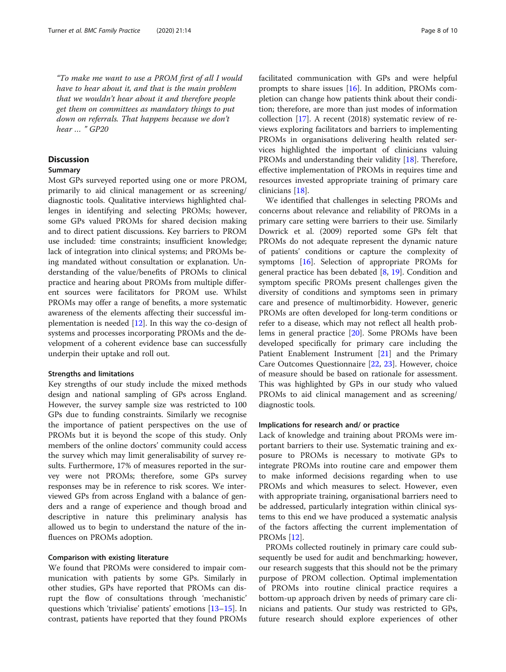"To make me want to use a PROM first of all I would have to hear about it, and that is the main problem that we wouldn't hear about it and therefore people get them on committees as mandatory things to put down on referrals. That happens because we don't hear … " GP20

# Discussion

# Summary

Most GPs surveyed reported using one or more PROM, primarily to aid clinical management or as screening/ diagnostic tools. Qualitative interviews highlighted challenges in identifying and selecting PROMs; however, some GPs valued PROMs for shared decision making and to direct patient discussions. Key barriers to PROM use included: time constraints; insufficient knowledge; lack of integration into clinical systems; and PROMs being mandated without consultation or explanation. Understanding of the value/benefits of PROMs to clinical practice and hearing about PROMs from multiple different sources were facilitators for PROM use. Whilst PROMs may offer a range of benefits, a more systematic awareness of the elements affecting their successful implementation is needed  $[12]$  $[12]$ . In this way the co-design of systems and processes incorporating PROMs and the development of a coherent evidence base can successfully underpin their uptake and roll out.

#### Strengths and limitations

Key strengths of our study include the mixed methods design and national sampling of GPs across England. However, the survey sample size was restricted to 100 GPs due to funding constraints. Similarly we recognise the importance of patient perspectives on the use of PROMs but it is beyond the scope of this study. Only members of the online doctors' community could access the survey which may limit generalisability of survey results. Furthermore, 17% of measures reported in the survey were not PROMs; therefore, some GPs survey responses may be in reference to risk scores. We interviewed GPs from across England with a balance of genders and a range of experience and though broad and descriptive in nature this preliminary analysis has allowed us to begin to understand the nature of the influences on PROMs adoption.

#### Comparison with existing literature

We found that PROMs were considered to impair communication with patients by some GPs. Similarly in other studies, GPs have reported that PROMs can disrupt the flow of consultations through 'mechanistic' questions which 'trivialise' patients' emotions [[13](#page-8-0)–[15\]](#page-8-0). In contrast, patients have reported that they found PROMs facilitated communication with GPs and were helpful prompts to share issues [[16](#page-8-0)]. In addition, PROMs completion can change how patients think about their condition; therefore, are more than just modes of information collection [\[17](#page-9-0)]. A recent (2018) systematic review of reviews exploring facilitators and barriers to implementing PROMs in organisations delivering health related services highlighted the important of clinicians valuing PROMs and understanding their validity [[18\]](#page-9-0). Therefore, effective implementation of PROMs in requires time and resources invested appropriate training of primary care clinicians [[18\]](#page-9-0).

We identified that challenges in selecting PROMs and concerns about relevance and reliability of PROMs in a primary care setting were barriers to their use. Similarly Dowrick et al. (2009) reported some GPs felt that PROMs do not adequate represent the dynamic nature of patients' conditions or capture the complexity of symptoms [\[16\]](#page-8-0). Selection of appropriate PROMs for general practice has been debated  $[8, 19]$  $[8, 19]$  $[8, 19]$ . Condition and symptom specific PROMs present challenges given the diversity of conditions and symptoms seen in primary care and presence of multimorbidity. However, generic PROMs are often developed for long-term conditions or refer to a disease, which may not reflect all health problems in general practice [[20](#page-9-0)]. Some PROMs have been developed specifically for primary care including the Patient Enablement Instrument [\[21\]](#page-9-0) and the Primary Care Outcomes Questionnaire [[22,](#page-9-0) [23\]](#page-9-0). However, choice of measure should be based on rationale for assessment. This was highlighted by GPs in our study who valued PROMs to aid clinical management and as screening/ diagnostic tools.

### Implications for research and/ or practice

Lack of knowledge and training about PROMs were important barriers to their use. Systematic training and exposure to PROMs is necessary to motivate GPs to integrate PROMs into routine care and empower them to make informed decisions regarding when to use PROMs and which measures to select. However, even with appropriate training, organisational barriers need to be addressed, particularly integration within clinical systems to this end we have produced a systematic analysis of the factors affecting the current implementation of PROMs [[12\]](#page-8-0).

PROMs collected routinely in primary care could subsequently be used for audit and benchmarking; however, our research suggests that this should not be the primary purpose of PROM collection. Optimal implementation of PROMs into routine clinical practice requires a bottom-up approach driven by needs of primary care clinicians and patients. Our study was restricted to GPs, future research should explore experiences of other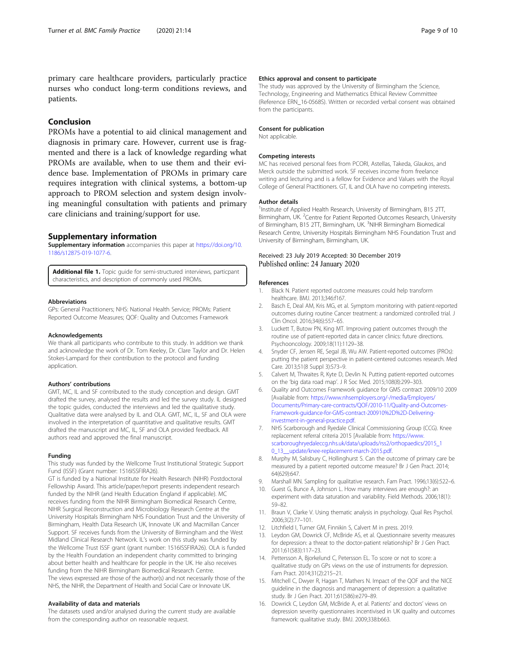<span id="page-8-0"></span>primary care healthcare providers, particularly practice nurses who conduct long-term conditions reviews, and patients.

# Conclusion

PROMs have a potential to aid clinical management and diagnosis in primary care. However, current use is fragmented and there is a lack of knowledge regarding what PROMs are available, when to use them and their evidence base. Implementation of PROMs in primary care requires integration with clinical systems, a bottom-up approach to PROM selection and system design involving meaningful consultation with patients and primary care clinicians and training/support for use.

#### Supplementary information

Supplementary information accompanies this paper at [https://doi.org/10.](https://doi.org/10.1186/s12875-019-1077-6) [1186/s12875-019-1077-6.](https://doi.org/10.1186/s12875-019-1077-6)

Additional file 1. Topic quide for semi-structured interviews, particpant characteristics, and description of commonly used PROMs.

#### Abbreviations

GPs: General Practitioners; NHS: National Health Service; PROMs: Patient Reported Outcome Measures; QOF: Quality and Outcomes Framework

#### Acknowledgements

We thank all participants who contribute to this study. In addition we thank and acknowledge the work of Dr. Tom Keeley, Dr. Clare Taylor and Dr. Helen Stokes-Lampard for their contribution to the protocol and funding application.

#### Authors' contributions

GMT, MC, IL and SF contributed to the study conception and design. GMT drafted the survey, analysed the results and led the survey study. IL designed the topic guides, conducted the interviews and led the qualitative study. Qualitative data were analysed by IL and OLA. GMT, MC, IL, SF and OLA were involved in the interpretation of quantitative and qualitative results. GMT drafted the manuscript and MC, IL, SF and OLA provided feedback. All authors read and approved the final manuscript.

#### Funding

This study was funded by the Wellcome Trust Institutional Strategic Support Fund (ISSF) (Grant number: 1516ISSFIRA26).

GT is funded by a National Institute for Health Research (NIHR) Postdoctoral Fellowship Award. This article/paper/report presents independent research funded by the NIHR (and Health Education England if applicable). MC receives funding from the NIHR Birmingham Biomedical Research Centre, NIHR Surgical Reconstruction and Microbiology Research Centre at the University Hospitals Birmingham NHS Foundation Trust and the University of Birmingham, Health Data Research UK, Innovate UK and Macmillan Cancer Support. SF receives funds from the University of Birmingham and the West Midland Clinical Research Network. IL's work on this study was funded by the Wellcome Trust ISSF grant (grant number: 1516ISSFIRA26). OLA is funded by the Health Foundation an independent charity committed to bringing about better health and healthcare for people in the UK. He also receives funding from the NIHR Birmingham Biomedical Research Centre. The views expressed are those of the author(s) and not necessarily those of the NHS, the NIHR, the Department of Health and Social Care or Innovate UK.

#### Availability of data and materials

The datasets used and/or analysed during the current study are available from the corresponding author on reasonable request.

#### Ethics approval and consent to participate

The study was approved by the University of Birmingham the Science, Technology, Engineering and Mathematics Ethical Review Committee (Reference ERN\_16-0568S). Written or recorded verbal consent was obtained from the participants.

#### Consent for publication

Not applicable.

#### Competing interests

MC has received personal fees from PCORI, Astellas, Takeda, Glaukos, and Merck outside the submitted work. SF receives income from freelance writing and lecturing and is a fellow for Evidence and Values with the Royal College of General Practitioners. GT, IL and OLA have no competing interests.

#### Author details

<sup>1</sup>Institute of Applied Health Research, University of Birmingham, B15 2TT, Birmingham, UK. <sup>2</sup> Centre for Patient Reported Outcomes Research, University of Birmingham, B15 2TT, Birmingham, UK. <sup>3</sup>NIHR Birmingham Biomedical Research Centre, University Hospitals Birmingham NHS Foundation Trust and University of Birmingham, Birmingham, UK.

### Received: 23 July 2019 Accepted: 30 December 2019 Published online: 24 January 2020

#### References

- 1. Black N. Patient reported outcome measures could help transform healthcare. BMJ. 2013;346:f167.
- 2. Basch E, Deal AM, Kris MG, et al. Symptom monitoring with patient-reported outcomes during routine Cancer treatment: a randomized controlled trial. J Clin Oncol. 2016;34(6):557–65.
- 3. Luckett T, Butow PN, King MT. Improving patient outcomes through the routine use of patient-reported data in cancer clinics: future directions. Psychooncology. 2009;18(11):1129–38.
- 4. Snyder CF, Jensen RE, Segal JB, Wu AW. Patient-reported outcomes (PROs): putting the patient perspective in patient-centered outcomes research. Med Care. 2013;51(8 Suppl 3):S73–9.
- 5. Calvert M, Thwaites R, Kyte D, Devlin N. Putting patient-reported outcomes on the 'big data road map'. J R Soc Med. 2015;108(8):299–303.
- 6. Quality and Outcomes Framework guidance for GMS contract 2009/10 2009 [Available from: [https://www.nhsemployers.org/-/media/Employers/](https://www.nhsemployers.org/-/media/Employers/Documents/Primary-care-contracts/QOF/2010-11/Quality-and-Outcomes-Framework-guidance-for-GMS-contract-200910%2D%2D-Delivering-investment-in-general-practice.pdf) [Documents/Primary-care-contracts/QOF/2010-11/Quality-and-Outcomes-](https://www.nhsemployers.org/-/media/Employers/Documents/Primary-care-contracts/QOF/2010-11/Quality-and-Outcomes-Framework-guidance-for-GMS-contract-200910%2D%2D-Delivering-investment-in-general-practice.pdf)[Framework-guidance-for-GMS-contract-200910%2D%2D-Delivering](https://www.nhsemployers.org/-/media/Employers/Documents/Primary-care-contracts/QOF/2010-11/Quality-and-Outcomes-Framework-guidance-for-GMS-contract-200910%2D%2D-Delivering-investment-in-general-practice.pdf)[investment-in-general-practice.pdf](https://www.nhsemployers.org/-/media/Employers/Documents/Primary-care-contracts/QOF/2010-11/Quality-and-Outcomes-Framework-guidance-for-GMS-contract-200910%2D%2D-Delivering-investment-in-general-practice.pdf).
- 7. NHS Scarborough and Ryedale Clinical Commissioning Group (CCG). Knee replacement referral criteria 2015 [Available from: [https://www.](https://www.scarboroughryedaleccg.nhs.uk/data/uploads/rss2/orthopaedics/2015_10_13__update/knee-replacement-march-2015.pdf) [scarboroughryedaleccg.nhs.uk/data/uploads/rss2/orthopaedics/2015\\_1](https://www.scarboroughryedaleccg.nhs.uk/data/uploads/rss2/orthopaedics/2015_10_13__update/knee-replacement-march-2015.pdf) [0\\_13\\_\\_update/knee-replacement-march-2015.pdf](https://www.scarboroughryedaleccg.nhs.uk/data/uploads/rss2/orthopaedics/2015_10_13__update/knee-replacement-march-2015.pdf).
- 8. Murphy M, Salisbury C, Hollinghurst S. Can the outcome of primary care be measured by a patient reported outcome measure? Br J Gen Pract. 2014; 64(629):647.
- 9. Marshall MN. Sampling for qualitative research. Fam Pract. 1996;13(6):522–6.
- 10. Guest G, Bunce A, Johnson L. How many interviews are enough?: an experiment with data saturation and variability. Field Methods. 2006;18(1): 59–82.
- 11. Braun V, Clarke V. Using thematic analysis in psychology. Qual Res Psychol. 2006;3(2):77–101.
- 12. Litchfield I, Turner GM, Finnikin S, Calvert M in press. 2019.
- 13. Leydon GM, Dowrick CF, McBride AS, et al. Questionnaire severity measures for depression: a threat to the doctor-patient relationship? Br J Gen Pract. 2011;61(583):117–23.
- 14. Pettersson A, Bjorkelund C, Petersson EL. To score or not to score: a qualitative study on GPs views on the use of instruments for depression. Fam Pract. 2014;31(2):215–21.
- 15. Mitchell C, Dwyer R, Hagan T, Mathers N. Impact of the QOF and the NICE guideline in the diagnosis and management of depression: a qualitative study. Br J Gen Pract. 2011;61(586):e279–89.
- 16. Dowrick C, Leydon GM, McBride A, et al. Patients' and doctors' views on depression severity questionnaires incentivised in UK quality and outcomes framework: qualitative study. BMJ. 2009;338:b663.